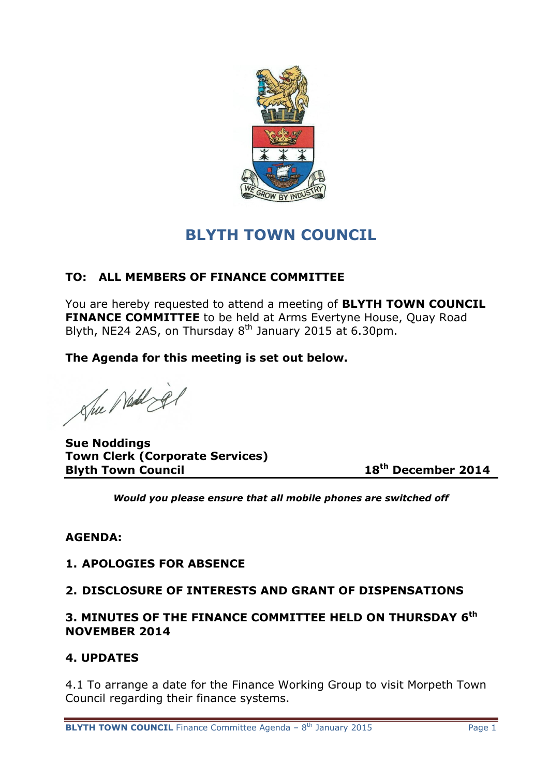

# **BLYTH TOWN COUNCIL**

# **TO: ALL MEMBERS OF FINANCE COMMITTEE**

You are hereby requested to attend a meeting of **BLYTH TOWN COUNCIL FINANCE COMMITTEE** to be held at Arms Evertyne House, Quay Road Blyth, NE24 2AS, on Thursday  $8<sup>th</sup>$  January 2015 at 6.30pm.

**The Agenda for this meeting is set out below.**

She Nellige

**Sue Noddings Town Clerk (Corporate Services) Blyth Town Council 18th December 2014**

*Would you please ensure that all mobile phones are switched off*

# **AGENDA:**

### **1. APOLOGIES FOR ABSENCE**

# **2. DISCLOSURE OF INTERESTS AND GRANT OF DISPENSATIONS**

## **3. MINUTES OF THE FINANCE COMMITTEE HELD ON THURSDAY 6 th NOVEMBER 2014**

### **4. UPDATES**

4.1 To arrange a date for the Finance Working Group to visit Morpeth Town Council regarding their finance systems.